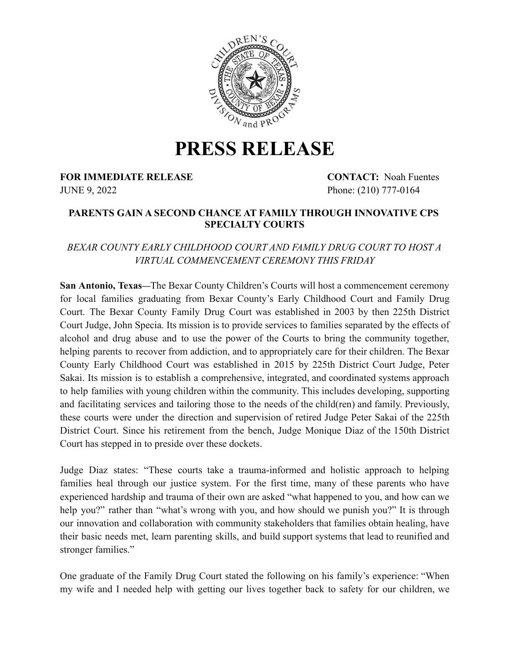

## **PRESS RELEASE**

**FOR IMMEDIATE RELEASE CONTACT:** Noah Fuentes

JUNE 9, 2022 Phone: (210) 777-0164

## **PARENTS GAIN A SECOND CHANCE AT FAMILY THROUGH INNOVATIVE CPS SPECIALTY COURTS**

## *BEXAR COUNTY EARLY CHILDHOOD COURT AND FAMILY DRUG COURT TO HOST A VIRTUAL COMMENCEMENT CEREMONY THIS FRIDAY*

**San Antonio, Texas**—The Bexar County Children's Courts will host a commencement ceremony for local families graduating from Bexar County's Early Childhood Court and Family Drug Court. The Bexar County Family Drug Court was established in 2003 by then 225th District Court Judge, John Specia. Its mission is to provide services to families separated by the effects of alcohol and drug abuse and to use the power of the Courts to bring the community together, helping parents to recover from addiction, and to appropriately care for their children. The Bexar County Early Childhood Court was established in 2015 by 225th District Court Judge, Peter Sakai. Its mission is to establish a comprehensive, integrated, and coordinated systems approach to help families with young children within the community. This includes developing, supporting and facilitating services and tailoring those to the needs of the child(ren) and family. Previously, these courts were under the direction and supervision of retired Judge Peter Sakai of the 225th District Court. Since his retirement from the bench, Judge Monique Diaz of the 150th District Court has stepped in to preside over these dockets.

Judge Diaz states: "These courts take a trauma-informed and holistic approach to helping families heal through our justice system. For the first time, many of these parents who have experienced hardship and trauma of their own are asked "what happened to you, and how can we help you?" rather than "what's wrong with you, and how should we punish you?" It is through our innovation and collaboration with community stakeholders that families obtain healing, have their basic needs met, learn parenting skills, and build support systems that lead to reunified and stronger families."

One graduate of the Family Drug Court stated the following on his family's experience: "When my wife and I needed help with getting our lives together back to safety for our children, we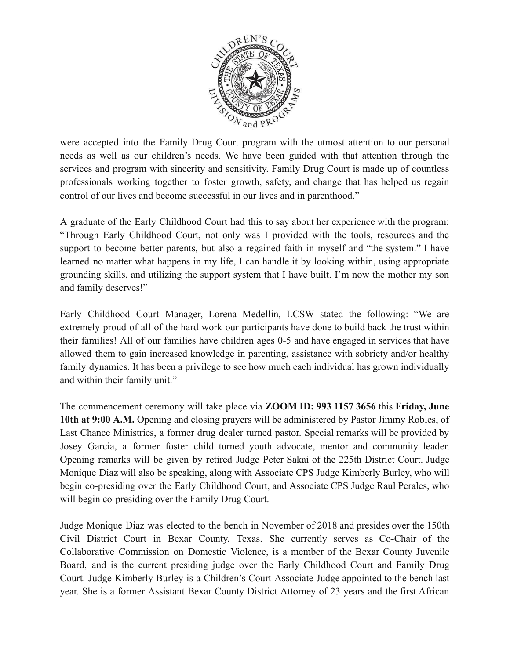

were accepted into the Family Drug Court program with the utmost attention to our personal needs as well as our children's needs. We have been guided with that attention through the services and program with sincerity and sensitivity. Family Drug Court is made up of countless professionals working together to foster growth, safety, and change that has helped us regain control of our lives and become successful in our lives and in parenthood."

A graduate of the Early Childhood Court had this to say about her experience with the program: "Through Early Childhood Court, not only was I provided with the tools, resources and the support to become better parents, but also a regained faith in myself and "the system." I have learned no matter what happens in my life, I can handle it by looking within, using appropriate grounding skills, and utilizing the support system that I have built. I'm now the mother my son and family deserves!"

Early Childhood Court Manager, Lorena Medellin, LCSW stated the following: "We are extremely proud of all of the hard work our participants have done to build back the trust within their families! All of our families have children ages 0-5 and have engaged in services that have allowed them to gain increased knowledge in parenting, assistance with sobriety and/or healthy family dynamics. It has been a privilege to see how much each individual has grown individually and within their family unit."

The commencement ceremony will take place via **ZOOM ID: 993 1157 3656** this **Friday, June 10th at 9:00 A.M.** Opening and closing prayers will be administered by Pastor Jimmy Robles, of Last Chance Ministries, a former drug dealer turned pastor. Special remarks will be provided by Josey Garcia, a former foster child turned youth advocate, mentor and community leader. Opening remarks will be given by retired Judge Peter Sakai of the 225th District Court. Judge Monique Diaz will also be speaking, along with Associate CPS Judge Kimberly Burley, who will begin co-presiding over the Early Childhood Court, and Associate CPS Judge Raul Perales, who will begin co-presiding over the Family Drug Court.

Judge Monique Diaz was elected to the bench in November of 2018 and presides over the 150th Civil District Court in Bexar County, Texas. She currently serves as Co-Chair of the Collaborative Commission on Domestic Violence, is a member of the Bexar County Juvenile Board, and is the current presiding judge over the Early Childhood Court and Family Drug Court. Judge Kimberly Burley is a Children's Court Associate Judge appointed to the bench last year. She is a former Assistant Bexar County District Attorney of 23 years and the first African